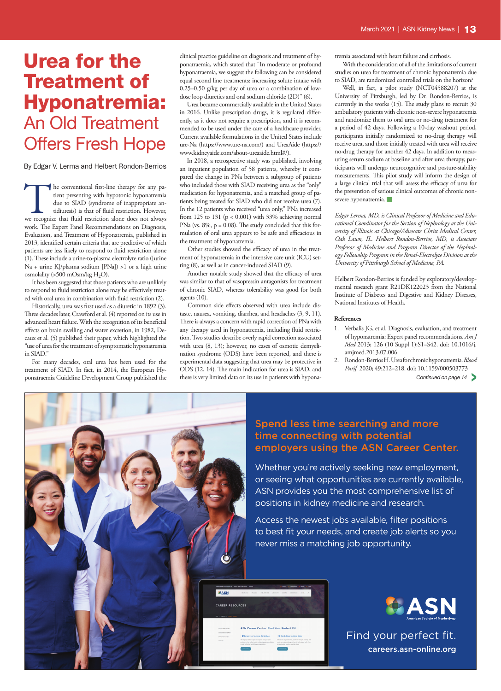# Urea for the Treatment of Hyponatremia: An Old Treatment Offers Fresh Hope

By Edgar V. Lerma and Helbert Rondon-Berrios

The conventional first-line therapy for any pa-<br>tient presenting with hypotonic hyponatremia<br>due to SIAD (syndrome of inappropriate an-<br>tidiuresis) is that of fluid restriction. However,<br>we recognize that fluid restriction tient presenting with hypotonic hyponatremia due to SIAD (syndrome of inappropriate antidiuresis) is that of fluid restriction. However, work. The Expert Panel Recommendations on Diagnosis, Evaluation, and Treatment of Hyponatremia, published in 2013, identified certain criteria that are predictive of which patients are less likely to respond to fluid restriction alone (1). These include a urine-to-plasma electrolyte ratio ([urine Na + urine K]/plasma sodium [PNa]) >1 or a high urine osmolality (>500 mOsm/kg  $H_2O$ ).

It has been suggested that those patients who are unlikely to respond to fluid restriction alone may be effectively treated with oral urea in combination with fluid restriction (2).

Historically, urea was first used as a diuretic in 1892 (3). Three decades later, Crawford et al. (4) reported on its use in advanced heart failure. With the recognition of its beneficial effects on brain swelling and water excretion, in 1982, Decaux et al. (5) published their paper, which highlighted the "use of urea for the treatment of symptomatic hyponatremia in SIAD."

For many decades, oral urea has been used for the treatment of SIAD. In fact, in 2014, the European Hyponatraemia Guideline Development Group published the clinical practice guideline on diagnosis and treatment of hyponatraemia, which stated that "In moderate or profound hyponatraemia, we suggest the following can be considered equal second line treatments: increasing solute intake with 0.25–0.50 g/kg per day of urea or a combination of lowdose loop diuretics and oral sodium chloride (2D)" (6).

Urea became commercially available in the United States in 2016. Unlike prescription drugs, it is regulated differently, as it does not require a prescription, and it is recommended to be used under the care of a healthcare provider. Current available formulations in the United States include ure-Na (https://www.ure-na.com/) and UreaAide (https:// www.kidneyaide.com/about-ureaaide.html#/).

In 2018, a retrospective study was published, involving an inpatient population of 58 patients, whereby it compared the change in PNa between a subgroup of patients who included those with SIAD receiving urea as the "only" medication for hyponatremia, and a matched group of patients being treated for SIAD who did not receive urea (7). In the 12 patients who received "urea only," PNa increased from 125 to 131 ( $p < 0.001$ ) with 33% achieving normal PNa (vs. 8%, p = 0.08). The study concluded that this formulation of oral urea appears to be safe and efficacious in the treatment of hyponatremia.

Other studies showed the efficacy of urea in the treatment of hyponatremia in the intensive care unit (ICU) setting (8), as well as in cancer-induced SIAD (9).

Another notable study showed that the efficacy of urea was similar to that of vasopressin antagonists for treatment of chronic SIAD, whereas tolerability was good for both agents (10).

Common side effects observed with urea include distaste, nausea, vomiting, diarrhea, and headaches (3, 9, 11). There is always a concern with rapid correction of PNa with any therapy used in hyponatremia, including fluid restriction. Two studies describe overly rapid correction associated with urea (8, 13); however, no cases of osmotic demyelination syndrome (ODS) have been reported, and there is experimental data suggesting that urea may be protective in ODS (12, 14). The main indication for urea is SIAD, and there is very limited data on its use in patients with hyponatremia associated with heart failure and cirrhosis.

With the consideration of all of the limitations of current studies on urea for treatment of chronic hyponatremia due to SIAD, are randomized controlled trials on the horizon?

Well, in fact, a pilot study (NCT04588207) at the University of Pittsburgh, led by Dr. Rondon-Berrios, is currently in the works (15). The study plans to recruit 30 ambulatory patients with chronic non-severe hyponatremia and randomize them to oral urea or no-drug treatment for a period of 42 days. Following a 10-day washout period, participants initially randomized to no-drug therapy will receive urea, and those initially treated with urea will receive no-drug therapy for another 42 days. In addition to measuring serum sodium at baseline and after urea therapy, participants will undergo neurocognitive and posture-stability measurements. This pilot study will inform the design of a large clinical trial that will assess the efficacy of urea for the prevention of serious clinical outcomes of chronic nonsevere hyponatremia.

*Edgar Lerma, MD, is Clinical Professor of Medicine and Educational Coordinator for the Section of Nephrology at the University of Illinois at Chicago/Advocate Christ Medical Center, Oak Lawn, IL. Helbert Rondon-Berrios, MD, is Associate Professor of Medicine and Program Director of the Nephrology Fellowship Program in the Renal-Electrolyte Division at the University of Pittsburgh School of Medicine, PA.*

Helbert Rondon-Berrios is funded by exploratory/developmental research grant R21DK122023 from the National Institute of Diabetes and Digestive and Kidney Diseases, National Institutes of Health.

### **References**

- 1. Verbalis JG, et al. Diagnosis, evaluation, and treatment of hyponatremia: Expert panel recommendations. *Am J Med* 2013; 126 (10 Suppl 1):S1−S42. doi: 10.1016/j. amjmed.2013.07.006
- 2. Rondon-Berrios H. Urea for chronic hyponatremia. *Blood Purif* 2020; 49:212−218. doi: 10.1159/000503773

*Continued on page 14* >



### Spend less time searching and more time connecting with potential employers using the ASN Career Center.

Whether you're actively seeking new employment, or seeing what opportunities are currently available, ASN provides you the most comprehensive list of positions in kidney medicine and research.

Access the newest jobs available, filter positions to best fit your needs, and create job alerts so you never miss a matching job opportunity.



Find your perfect fit. careers.asn-online.org